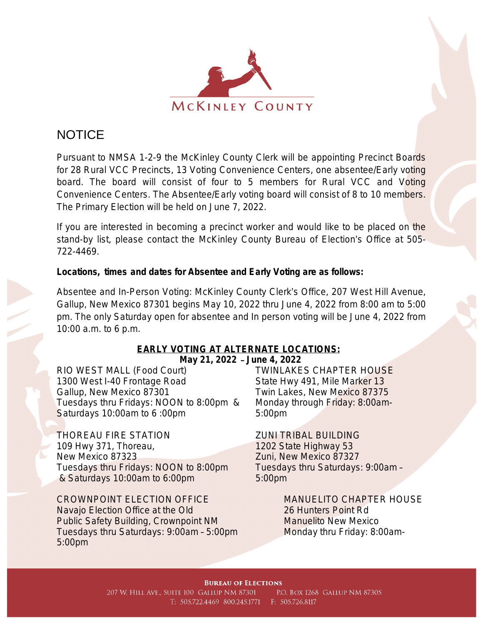

# **NOTICE**

Pursuant to NMSA 1-2-9 the McKinley County Clerk will be appointing Precinct Boards for 28 Rural VCC Precincts, 13 Voting Convenience Centers, one absentee/Early voting board. The board will consist of four to 5 members for Rural VCC and Voting Convenience Centers. The Absentee/Early voting board will consist of 8 to 10 members. The Primary Election will be held on June 7, 2022.

If you are interested in becoming a precinct worker and would like to be placed on the stand-by list, please contact the McKinley County Bureau of Election's Office at 505- 722-4469.

## **Locations, times and dates for Absentee and Early Voting are as follows:**

Absentee and In-Person Voting: McKinley County Clerk's Office, 207 West Hill Avenue, Gallup, New Mexico 87301 begins May 10, 2022 thru June 4, 2022 from 8:00 am to 5:00 pm. The only Saturday open for absentee and In person voting will be June 4, 2022 from 10:00 a.m. to 6 p.m.

### **EARLY VOTING AT ALTERNATE LOCATIONS: May 21, 2022** – **June 4, 2022**

RIO WEST MALL (Food Court) 1300 West I-40 Frontage Road Gallup, New Mexico 87301 Tuesdays thru Fridays: NOON to 8:00pm & Saturdays 10:00am to 6 :00pm

THOREAU FIRE STATION ZUNI TRIBAL BUILDING 109 Hwy 371, Thoreau, New Mexico 87323 Tuesdays thru Fridays: NOON to 8:00pm & Saturdays 10:00am to 6:00pm

CROWNPOINT ELECTION OFFICE MANUELITO CHAPTER HOUSE Navajo Election Office at the Old 26 Hunters Point Rd Public Safety Building, Crownpoint NM Manuelito New Mexico Tuesdays thru Saturdays: 9:00am - 5:00pm Monday thru Friday: 8:00am-5:00pm

TWINLAKES CHAPTER HOUSE State Hwy 491, Mile Marker 13 Twin Lakes, New Mexico 87375 Monday through Friday: 8:00am-5:00pm

1202 State Highway 53 Zuni, New Mexico 87327 Tuesdays thru Saturdays: 9:00am – 5:00pm

#### **BUREAU OF ELECTIONS**

207 W. HILL AVE., SUITE 100 GALLUP NM 87301 P.O. BOX 1268 GALLUP NM 87305 T: 505.722.4469 800.245.1771 F: 505.726.8117